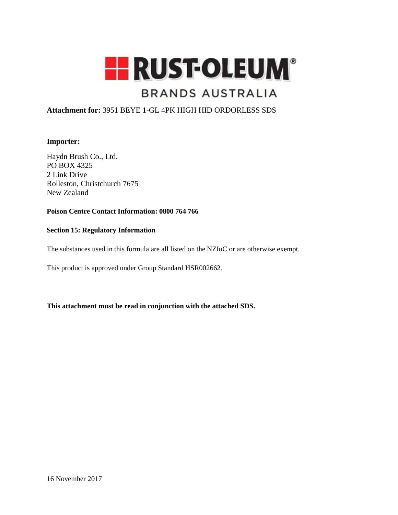

# **BRANDS AUSTRALIA**

## **Attachment for:** 3951 BEYE 1-GL 4PK HIGH HID ORDORLESS SDS

## **Importer:**

Haydn Brush Co., Ltd. PO BOX 4325 2 Link Drive Rolleston, Christchurch 7675 New Zealand

## **Poison Centre Contact Information: 0800 764 766**

#### **Section 15: Regulatory Information**

The substances used in this formula are all listed on the NZIoC or are otherwise exempt.

This product is approved under Group Standard HSR002662.

**This attachment must be read in conjunction with the attached SDS.**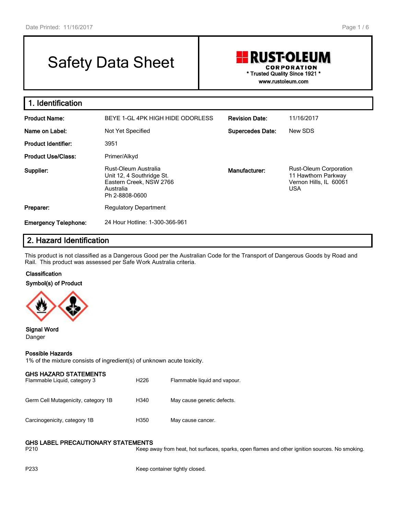# Safety Data Sheet

## **RUST-OLEUM CORPORATION** \* Trusted Quality Since 1921 \* www.rustoleum.com

1. Identification Product Name: BEYE 1-GL 4PK HIGH HIDE ODORLESS Revision Date: 11/16/2017 Name on Label: Not Yet Specified Supercedes Date: New SDS Product Identifier: 3951 Product Use/Class: Primer/Alkyd Supplier: Rust-Oleum Australia Unit 12, 4 Southridge St. Eastern Creek, NSW 2766 Australia Ph 2-8808-0600 Manufacturer: Rust-Oleum Corporation 11 Hawthorn Parkway Vernon Hills, IL 60061 USA Preparer: Regulatory Department Emergency Telephone: 24 Hour Hotline: 1-300-366-961

## 2. Hazard Identification

This product is not classified as a Dangerous Good per the Australian Code for the Transport of Dangerous Goods by Road and Rail. This product was assessed per Safe Work Australia criteria.

#### Classification

Symbol(s) of Product



#### Signal Word Danger

#### Possible Hazards

1% of the mixture consists of ingredient(s) of unknown acute toxicity.

| <b>GHS HAZARD STATEMENTS</b><br>Flammable Liquid, category 3 | H <sub>226</sub> | Flammable liquid and vapour. |
|--------------------------------------------------------------|------------------|------------------------------|
| Germ Cell Mutagenicity, category 1B                          | H340             | May cause genetic defects.   |
| Carcinogenicity, category 1B                                 | H350             | May cause cancer.            |

#### GHS LABEL PRECAUTIONARY STATEMENTS

P210 **Keep away from heat, hot surfaces, sparks, open flames and other ignition sources. No smoking.** 

P233 Keep container tightly closed.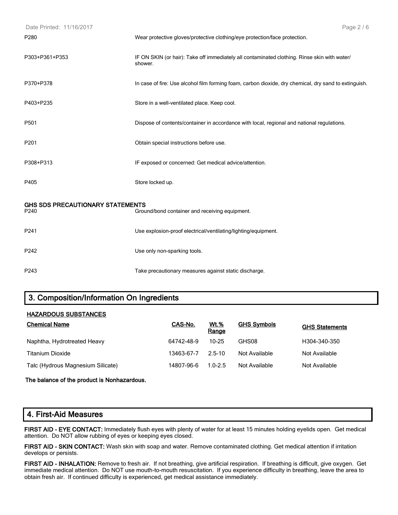| Date Printed: 11/16/2017         | Page 2/6                                                                                                |
|----------------------------------|---------------------------------------------------------------------------------------------------------|
| P280                             | Wear protective gloves/protective clothing/eye protection/face protection.                              |
| P303+P361+P353                   | IF ON SKIN (or hair): Take off immediately all contaminated clothing. Rinse skin with water/<br>shower. |
| P370+P378                        | In case of fire: Use alcohol film forming foam, carbon dioxide, dry chemical, dry sand to extinguish.   |
| P403+P235                        | Store in a well-ventilated place. Keep cool.                                                            |
| P501                             | Dispose of contents/container in accordance with local, regional and national regulations.              |
| P201                             | Obtain special instructions before use.                                                                 |
| P308+P313                        | IF exposed or concerned: Get medical advice/attention.                                                  |
| P405                             | Store locked up.                                                                                        |
| GHS SDS PRECAUTIONARY STATEMENTS |                                                                                                         |
| P240                             | Ground/bond container and receiving equipment.                                                          |
| P241                             | Use explosion-proof electrical/ventilating/lighting/equipment.                                          |
| P242                             | Use only non-sparking tools.                                                                            |
| P243                             | Take precautionary measures against static discharge.                                                   |

## 3. Composition/Information On Ingredients

#### HAZARDOUS SUBSTANCES

| <b>Chemical Name</b>              | CAS-No.    | <b>Wt.%</b><br><b>Range</b> | <b>GHS Symbols</b> | <b>GHS Statements</b> |
|-----------------------------------|------------|-----------------------------|--------------------|-----------------------|
| Naphtha, Hydrotreated Heavy       | 64742-48-9 | 10-25                       | GHS08              | H304-340-350          |
| <b>Titanium Dioxide</b>           | 13463-67-7 | 2.5-10                      | Not Available      | Not Available         |
| Talc (Hydrous Magnesium Silicate) | 14807-96-6 | $1.0 - 2.5$                 | Not Available      | Not Available         |

#### **The balance of the product is Nonhazardous.**

#### 4. First-Aid Measures

FIRST AID - EYE CONTACT: Immediately flush eyes with plenty of water for at least 15 minutes holding eyelids open. Get medical attention. Do NOT allow rubbing of eyes or keeping eyes closed.

FIRST AID - SKIN CONTACT: Wash skin with soap and water. Remove contaminated clothing. Get medical attention if irritation develops or persists.

FIRST AID - INHALATION: Remove to fresh air. If not breathing, give artificial respiration. If breathing is difficult, give oxygen. Get immediate medical attention. Do NOT use mouth-to-mouth resuscitation. If you experience difficulty in breathing, leave the area to obtain fresh air. If continued difficulty is experienced, get medical assistance immediately.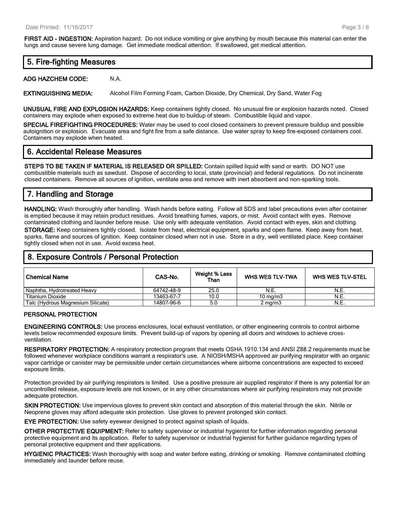FIRST AID - INGESTION: Aspiration hazard: Do not induce vomiting or give anything by mouth because this material can enter the lungs and cause severe lung damage. Get immediate medical attention. If swallowed, get medical attention.

## 5. Fire-fighting Measures

**ADG HAZCHEM CODE:** N.A.

EXTINGUISHING MEDIA: Alcohol Film Forming Foam, Carbon Dioxide, Dry Chemical, Dry Sand, Water Fog

UNUSUAL FIRE AND EXPLOSION HAZARDS: Keep containers tightly closed. No unusual fire or explosion hazards noted. Closed containers may explode when exposed to extreme heat due to buildup of steam. Combustible liquid and vapor.

SPECIAL FIREFIGHTING PROCEDURES: Water may be used to cool closed containers to prevent pressure buildup and possible autoignition or explosion. Evacuate area and fight fire from a safe distance. Use water spray to keep fire-exposed containers cool. Containers may explode when heated.

## 6. Accidental Release Measures

STEPS TO BE TAKEN IF MATERIAL IS RELEASED OR SPILLED: Contain spilled liquid with sand or earth. DO NOT use combustible materials such as sawdust. Dispose of according to local, state (provincial) and federal regulations. Do not incinerate closed containers. Remove all sources of ignition, ventilate area and remove with inert absorbent and non-sparking tools.

## 7. Handling and Storage

HANDLING: Wash thoroughly after handling. Wash hands before eating. Follow all SDS and label precautions even after container is emptied because it may retain product residues. Avoid breathing fumes, vapors, or mist. Avoid contact with eyes. Remove contaminated clothing and launder before reuse. Use only with adequate ventilation. Avoid contact with eyes, skin and clothing.

STORAGE: Keep containers tightly closed. Isolate from heat, electrical equipment, sparks and open flame. Keep away from heat, sparks, flame and sources of ignition. Keep container closed when not in use. Store in a dry, well ventilated place. Keep container tightly closed when not in use. Avoid excess heat.

## 8. Exposure Controls / Personal Protection

| ∣ Chemical Name                   | CAS-No.    | Weight % Less<br>Than | <b>WHS WES TLV-TWA</b> | <b>WHS WES TLV-STEL</b> |
|-----------------------------------|------------|-----------------------|------------------------|-------------------------|
| Naphtha, Hydrotreated Heavy       | 64742-48-9 | 25.0                  | N.E.                   | N.E.                    |
| Titanium Dioxide                  | 13463-67-7 | 10.0                  | $10 \text{ ma/m}$ 3    | N.E.                    |
| Talc (Hydrous Magnesium Silicate) | 14807-96-6 | 5.0                   | $2 \text{ ma/m}$ 3     | N.E.                    |

#### PERSONAL PROTECTION

ENGINEERING CONTROLS: Use process enclosures, local exhaust ventilation, or other engineering controls to control airborne levels below recommended exposure limits. Prevent build-up of vapors by opening all doors and windows to achieve crossventilation.

RESPIRATORY PROTECTION: A respiratory protection program that meets OSHA 1910.134 and ANSI Z88.2 requirements must be followed whenever workplace conditions warrant a respirator's use. A NIOSH/MSHA approved air purifying respirator with an organic vapor cartridge or canister may be permissible under certain circumstances where airborne concentrations are expected to exceed exposure limits.

Protection provided by air purifying respirators is limited. Use a positive pressure air supplied respirator if there is any potential for an uncontrolled release, exposure levels are not known, or in any other circumstances where air purifying respirators may not provide adequate protection.

SKIN PROTECTION: Use impervious gloves to prevent skin contact and absorption of this material through the skin. Nitrile or Neoprene gloves may afford adequate skin protection. Use gloves to prevent prolonged skin contact.

EYE PROTECTION: Use safety eyewear designed to protect against splash of liquids.

OTHER PROTECTIVE EQUIPMENT: Refer to safety supervisor or industrial hygienist for further information regarding personal protective equipment and its application. Refer to safety supervisor or industrial hygienist for further guidance regarding types of personal protective equipment and their applications.

HYGIENIC PRACTICES: Wash thoroughly with soap and water before eating, drinking or smoking. Remove contaminated clothing immediately and launder before reuse.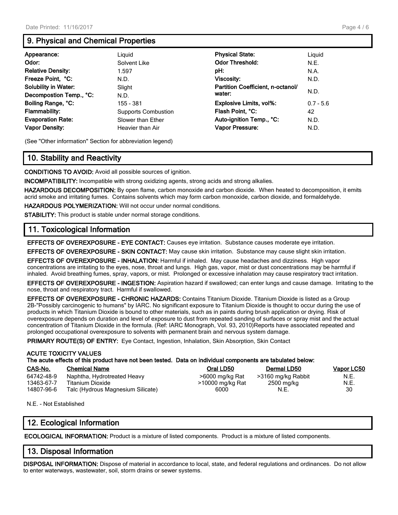## 9. Physical and Chemical Properties

| Appearance:                 | Liguid                     | <b>Physical State:</b>            | Liguid      |
|-----------------------------|----------------------------|-----------------------------------|-------------|
| Odor:                       | Solvent Like               | <b>Odor Threshold:</b>            | N.E.        |
| <b>Relative Density:</b>    | 1.597                      | pH:                               | N.A.        |
| Freeze Point, °C:           | N.D.                       | <b>Viscosity:</b>                 | N.D.        |
| <b>Solubility in Water:</b> | Slight                     | Partition Coefficient, n-octanol/ | N.D.        |
| Decompostion Temp., °C:     | N.D.                       | water:                            |             |
| Boiling Range, °C:          | 155 - 381                  | <b>Explosive Limits, vol%:</b>    | $0.7 - 5.6$ |
| <b>Flammability:</b>        | <b>Supports Combustion</b> | Flash Point, °C:                  | 42          |
| <b>Evaporation Rate:</b>    | Slower than Ether          | Auto-ignition Temp., °C:          | N.D.        |
| <b>Vapor Density:</b>       | Heavier than Air           | <b>Vapor Pressure:</b>            | N.D.        |

(See "Other information" Section for abbreviation legend)

## 10. Stability and Reactivity

CONDITIONS TO AVOID: Avoid all possible sources of ignition.

INCOMPATIBILITY: Incompatible with strong oxidizing agents, strong acids and strong alkalies.

HAZARDOUS DECOMPOSITION: By open flame, carbon monoxide and carbon dioxide. When heated to decomposition, it emits acrid smoke and irritating fumes. Contains solvents which may form carbon monoxide, carbon dioxide, and formaldehyde.

HAZARDOUS POLYMERIZATION: Will not occur under normal conditions.

STABILITY: This product is stable under normal storage conditions.

## 11. Toxicological Information

EFFECTS OF OVEREXPOSURE - EYE CONTACT: Causes eye irritation. Substance causes moderate eye irritation.

EFFECTS OF OVEREXPOSURE - SKIN CONTACT: May cause skin irritation. Substance may cause slight skin irritation.

EFFECTS OF OVEREXPOSURE - INHALATION: Harmful if inhaled. May cause headaches and dizziness. High vapor concentrations are irritating to the eyes, nose, throat and lungs. High gas, vapor, mist or dust concentrations may be harmful if inhaled. Avoid breathing fumes, spray, vapors, or mist. Prolonged or excessive inhalation may cause respiratory tract irritation.

EFFECTS OF OVEREXPOSURE - INGESTION: Aspiration hazard if swallowed; can enter lungs and cause damage. Irritating to the nose, throat and respiratory tract. Harmful if swallowed.

EFFECTS OF OVEREXPOSURE - CHRONIC HAZARDS: Contains Titanium Dioxide. Titanium Dioxide is listed as a Group 2B-"Possibly carcinogenic to humans" by IARC. No significant exposure to Titanium Dioxide is thought to occur during the use of products in which Titanium Dioxide is bound to other materials, such as in paints during brush application or drying. Risk of overexposure depends on duration and level of exposure to dust from repeated sanding of surfaces or spray mist and the actual concentration of Titanium Dioxide in the formula. (Ref: IARC Monograph, Vol. 93, 2010)Reports have associated repeated and prolonged occupational overexposure to solvents with permanent brain and nervous system damage.

PRIMARY ROUTE(S) OF ENTRY: Eye Contact, Ingestion, Inhalation, Skin Absorption, Skin Contact

#### ACUTE TOXICITY VALUES The acute effects of this product have not been tested. Data on individual components are tabulated below:

| CAS-No.    | <b>Chemical Name</b>              | Oral LD50        | Dermal LD50        | <b>Vapor LC50</b> |
|------------|-----------------------------------|------------------|--------------------|-------------------|
| 64742-48-9 | Naphtha, Hydrotreated Heavy       | >6000 mg/kg Rat  | >3160 mg/kg Rabbit | N.E.              |
| 13463-67-7 | Titanium Dioxide                  | >10000 mg/kg Rat | 2500 mg/kg         | N.E.              |
| 14807-96-6 | Talc (Hydrous Magnesium Silicate) | 6000             | N.E.               | 30                |

N.E. - Not Established

## 12. Ecological Information

ECOLOGICAL INFORMATION: Product is a mixture of listed components. Product is a mixture of listed components.

## 13. Disposal Information

DISPOSAL INFORMATION: Dispose of material in accordance to local, state, and federal regulations and ordinances. Do not allow to enter waterways, wastewater, soil, storm drains or sewer systems.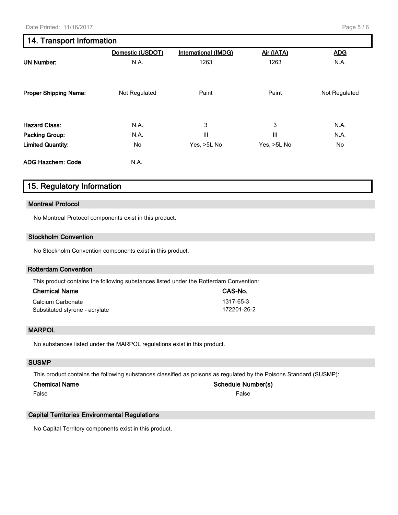## 14. Transport Information

|                              | Domestic (USDOT) | <b>International (IMDG)</b> | Air (IATA)     | <b>ADG</b>    |
|------------------------------|------------------|-----------------------------|----------------|---------------|
| <b>UN Number:</b>            | N.A.             | 1263                        | 1263           | N.A.          |
| <b>Proper Shipping Name:</b> | Not Regulated    | Paint                       | Paint          | Not Regulated |
| <b>Hazard Class:</b>         | N.A.             | 3                           | 3              | N.A.          |
| <b>Packing Group:</b>        | N.A.             | $\mathbf{III}$              | $\mathbf{III}$ | N.A.          |
| <b>Limited Quantity:</b>     | No               | Yes, >5L No                 | Yes, >5L No    | No            |
| <b>ADG Hazchem: Code</b>     | N.A.             |                             |                |               |

## 15. Regulatory Information

#### **Montreal Protocol**

No Montreal Protocol components exist in this product.

#### **Stockholm Convention**

No Stockholm Convention components exist in this product.

#### **Rotterdam Convention**

This product contains the following substances listed under the Rotterdam Convention:

| <b>Chemical Name</b>           | CAS-No.     |
|--------------------------------|-------------|
| Calcium Carbonate              | 1317-65-3   |
| Substituted styrene - acrylate | 172201-26-2 |

#### **MARPOL**

No substances listed under the MARPOL regulations exist in this product.

#### **SUSMP**

This product contains the following substances classified as poisons as regulated by the Poisons Standard (SUSMP):

#### **Chemical Name Schedule Number(s)**

False False

#### **Capital Territories Environmental Regulations**

No Capital Territory components exist in this product.